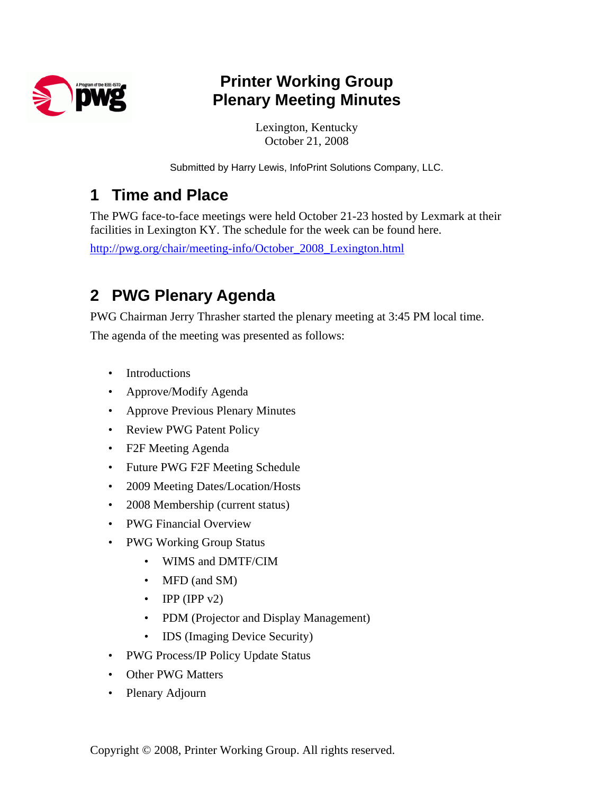

## **Printer Working Group Plenary Meeting Minutes**

Lexington, Kentucky October 21, 2008

Submitted by Harry Lewis, InfoPrint Solutions Company, LLC.

### **1 Time and Place**

The PWG face-to-face meetings were held October 21-23 hosted by Lexmark at their facilities in Lexington KY. The schedule for the week can be found here.

http://pwg.org/chair/meeting-info/October\_2008\_Lexington.html

## **2 PWG Plenary Agenda**

PWG Chairman Jerry Thrasher started the plenary meeting at 3:45 PM local time.

The agenda of the meeting was presented as follows:

- Introductions
- Approve/Modify Agenda
- Approve Previous Plenary Minutes
- Review PWG Patent Policy
- F2F Meeting Agenda
- Future PWG F2F Meeting Schedule
- 2009 Meeting Dates/Location/Hosts
- 2008 Membership (current status)
- PWG Financial Overview
- PWG Working Group Status
	- WIMS and DMTF/CIM
	- MFD (and SM)
	- IPP (IPP  $v2$ )
	- PDM (Projector and Display Management)
	- IDS (Imaging Device Security)
- PWG Process/IP Policy Update Status
- Other PWG Matters
- Plenary Adjourn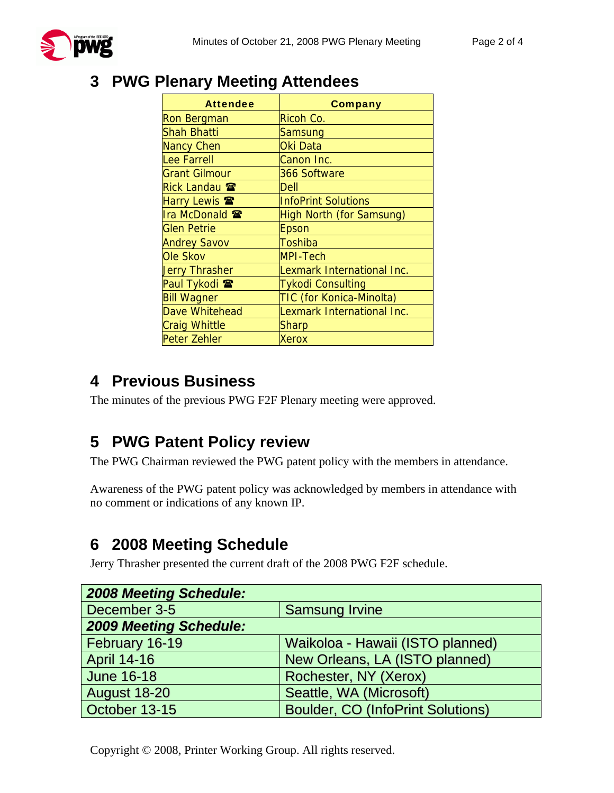

#### **3 PWG Plenary Meeting Attendees**

| Attendee                 | Company                    |
|--------------------------|----------------------------|
| Ron Bergman              | Ricoh Co.                  |
| Shah Bhatti              | Samsung                    |
| <b>Nancy Chen</b>        | Oki Data                   |
| Lee Farrell              | Canon Inc.                 |
| <b>Grant Gilmour</b>     | 366 Software               |
| Rick Landau <b>雷</b>     | Dell                       |
| Harry Lewis <b>雷</b>     | <b>InfoPrint Solutions</b> |
| Ira McDonald 雷           | High North (for Samsung)   |
| <b>Glen Petrie</b>       | Epson                      |
| <b>Andrey Savov</b>      | Toshiba                    |
| Ole Skov                 | <b>MPI-Tech</b>            |
| <b>Jerry Thrasher</b>    | Lexmark International Inc. |
| Paul Tykodi <sup>®</sup> | <b>Tykodi Consulting</b>   |
| <b>Bill Wagner</b>       | TIC (for Konica-Minolta)   |
| Dave Whitehead           | Lexmark International Inc. |
| <b>Craig Whittle</b>     | Sharp                      |
| Peter Zehler             | Xerox                      |

### **4 Previous Business**

The minutes of the previous PWG F2F Plenary meeting were approved.

## **5 PWG Patent Policy review**

The PWG Chairman reviewed the PWG patent policy with the members in attendance.

Awareness of the PWG patent policy was acknowledged by members in attendance with no comment or indications of any known IP.

## **6 2008 Meeting Schedule**

Jerry Thrasher presented the current draft of the 2008 PWG F2F schedule.

| <b>2008 Meeting Schedule:</b> |                                          |  |
|-------------------------------|------------------------------------------|--|
| December 3-5                  | <b>Samsung Irvine</b>                    |  |
| <b>2009 Meeting Schedule:</b> |                                          |  |
| February 16-19                | Waikoloa - Hawaii (ISTO planned)         |  |
| <b>April 14-16</b>            | New Orleans, LA (ISTO planned)           |  |
| <b>June 16-18</b>             | Rochester, NY (Xerox)                    |  |
| <b>August 18-20</b>           | Seattle, WA (Microsoft)                  |  |
| October 13-15                 | <b>Boulder, CO (InfoPrint Solutions)</b> |  |

Copyright © 2008, Printer Working Group. All rights reserved.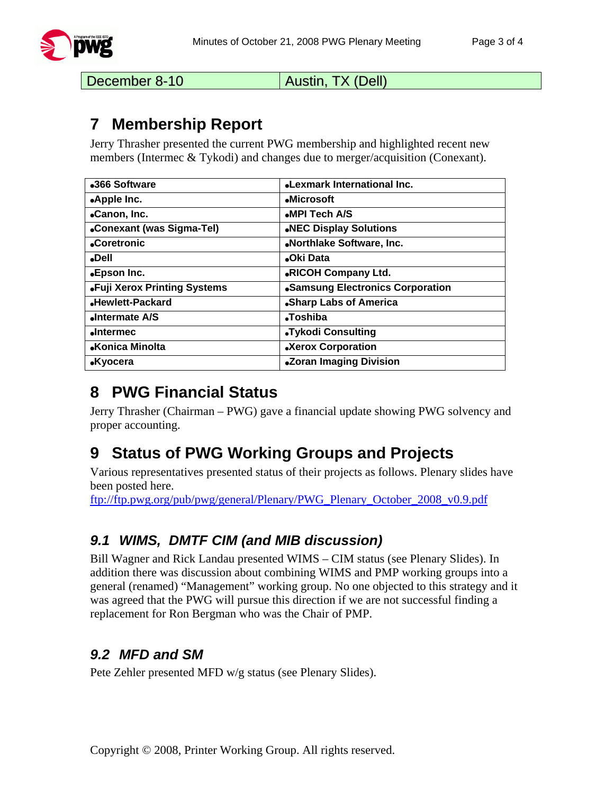

December 8-10 | Austin, TX (Dell)

### **7 Membership Report**

Jerry Thrasher presented the current PWG membership and highlighted recent new members (Intermec & Tykodi) and changes due to merger/acquisition (Conexant).

| •366 Software                | <b>.Lexmark International Inc.</b> |
|------------------------------|------------------------------------|
| .Apple Inc.                  | •Microsoft                         |
| •Canon, Inc.                 | MPI Tech A/S                       |
| •Conexant (was Sigma-Tel)    | .NEC Display Solutions             |
| <b>Coretronic</b>            | .Northlake Software, Inc.          |
| •Dell                        | •Oki Data                          |
| •Epson Inc.                  | <b>.RICOH Company Ltd.</b>         |
| •Fuji Xerox Printing Systems | •Samsung Electronics Corporation   |
| •Hewlett-Packard             | •Sharp Labs of America             |
| Intermate A/S                | <b>Toshiba</b>                     |
| <b>•Intermec</b>             | •Tykodi Consulting                 |
| •Konica Minolta              | •Xerox Corporation                 |
| $\bullet$ Kyocera            | <b>.Zoran Imaging Division</b>     |

## **8 PWG Financial Status**

Jerry Thrasher (Chairman – PWG) gave a financial update showing PWG solvency and proper accounting.

# **9 Status of PWG Working Groups and Projects**

Various representatives presented status of their projects as follows. Plenary slides have been posted here.

ftp://ftp.pwg.org/pub/pwg/general/Plenary/PWG\_Plenary\_October\_2008\_v0.9.pdf

#### *9.1 WIMS, DMTF CIM (and MIB discussion)*

Bill Wagner and Rick Landau presented WIMS – CIM status (see Plenary Slides). In addition there was discussion about combining WIMS and PMP working groups into a general (renamed) "Management" working group. No one objected to this strategy and it was agreed that the PWG will pursue this direction if we are not successful finding a replacement for Ron Bergman who was the Chair of PMP.

#### *9.2 MFD and SM*

Pete Zehler presented MFD w/g status (see Plenary Slides).